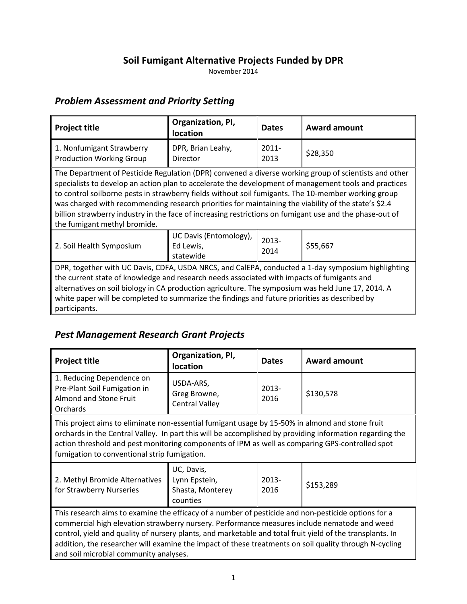#### **Soil Fumigant Alternative Projects Funded by DPR**

November 2014

#### *Problem Assessment and Priority Setting*

| <b>Project title</b>                                                                                                                                                                                                                                                                                                                                                                                                                                                                                                                                                     | Organization, PI,<br>location                    | <b>Dates</b>     | <b>Award amount</b> |
|--------------------------------------------------------------------------------------------------------------------------------------------------------------------------------------------------------------------------------------------------------------------------------------------------------------------------------------------------------------------------------------------------------------------------------------------------------------------------------------------------------------------------------------------------------------------------|--------------------------------------------------|------------------|---------------------|
| 1. Nonfumigant Strawberry<br><b>Production Working Group</b>                                                                                                                                                                                                                                                                                                                                                                                                                                                                                                             | DPR, Brian Leahy,<br>Director                    | $2011 -$<br>2013 | \$28,350            |
| The Department of Pesticide Regulation (DPR) convened a diverse working group of scientists and other<br>specialists to develop an action plan to accelerate the development of management tools and practices<br>to control soilborne pests in strawberry fields without soil fumigants. The 10-member working group<br>was charged with recommending research priorities for maintaining the viability of the state's \$2.4<br>billion strawberry industry in the face of increasing restrictions on fumigant use and the phase-out of<br>the fumigant methyl bromide. |                                                  |                  |                     |
| 2. Soil Health Symposium                                                                                                                                                                                                                                                                                                                                                                                                                                                                                                                                                 | UC Davis (Entomology),<br>Ed Lewis,<br>statewide | $2013 -$<br>2014 | \$55,667            |
| DPR, together with UC Davis, CDFA, USDA NRCS, and CalEPA, conducted a 1-day symposium highlighting<br>the current state of knowledge and research needs associated with impacts of fumigants and<br>alternatives on soil biology in CA production agriculture. The symposium was held June 17, 2014. A<br>white paper will be completed to summarize the findings and future priorities as described by<br>participants.                                                                                                                                                 |                                                  |                  |                     |

## *Pest Management Research Grant Projects*

| <b>Project title</b>                                                                                                                                                                                                                                                                                                                                                                                                                                                 | Organization, PI,<br>location                               | <b>Dates</b>     | <b>Award amount</b> |
|----------------------------------------------------------------------------------------------------------------------------------------------------------------------------------------------------------------------------------------------------------------------------------------------------------------------------------------------------------------------------------------------------------------------------------------------------------------------|-------------------------------------------------------------|------------------|---------------------|
| 1. Reducing Dependence on<br>Pre-Plant Soil Fumigation in<br>Almond and Stone Fruit<br>Orchards                                                                                                                                                                                                                                                                                                                                                                      | USDA-ARS,<br>Greg Browne,<br><b>Central Valley</b>          | $2013 -$<br>2016 | \$130,578           |
| This project aims to eliminate non-essential fumigant usage by 15-50% in almond and stone fruit<br>orchards in the Central Valley. In part this will be accomplished by providing information regarding the<br>action threshold and pest monitoring components of IPM as well as comparing GPS-controlled spot<br>fumigation to conventional strip fumigation.                                                                                                       |                                                             |                  |                     |
| 2. Methyl Bromide Alternatives<br>for Strawberry Nurseries                                                                                                                                                                                                                                                                                                                                                                                                           | UC, Davis,<br>Lynn Epstein,<br>Shasta, Monterey<br>counties | 2013-<br>2016    | \$153,289           |
| This research aims to examine the efficacy of a number of pesticide and non-pesticide options for a<br>commercial high elevation strawberry nursery. Performance measures include nematode and weed<br>control, yield and quality of nursery plants, and marketable and total fruit yield of the transplants. In<br>addition, the researcher will examine the impact of these treatments on soil quality through N-cycling<br>and soil microbial community analyses. |                                                             |                  |                     |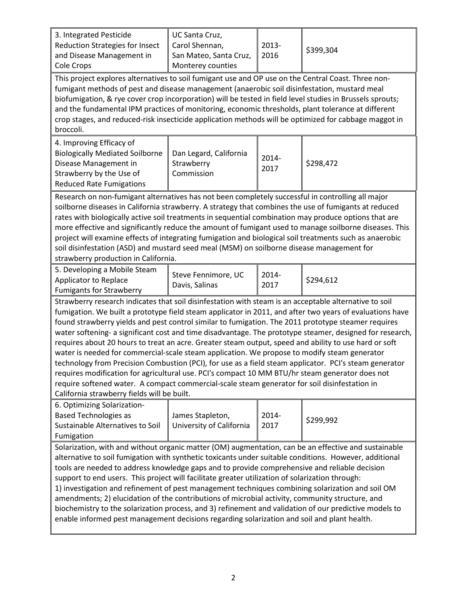| 3. Integrated Pesticide<br>Reduction Strategies for Insect<br>and Disease Management in<br>Cole Crops                                                                                                                                                                                                                                                                                                                                                                                                                                                                                                                                                                                                                                                                                                                                                                                                                                                                                                       | UC Santa Cruz,<br>Carol Shennan,<br>San Mateo, Santa Cruz,<br>Monterey counties | 2013-<br>2016 | \$399,304 |  |
|-------------------------------------------------------------------------------------------------------------------------------------------------------------------------------------------------------------------------------------------------------------------------------------------------------------------------------------------------------------------------------------------------------------------------------------------------------------------------------------------------------------------------------------------------------------------------------------------------------------------------------------------------------------------------------------------------------------------------------------------------------------------------------------------------------------------------------------------------------------------------------------------------------------------------------------------------------------------------------------------------------------|---------------------------------------------------------------------------------|---------------|-----------|--|
| This project explores alternatives to soil fumigant use and OP use on the Central Coast. Three non-<br>fumigant methods of pest and disease management (anaerobic soil disinfestation, mustard meal<br>biofumigation, & rye cover crop incorporation) will be tested in field level studies in Brussels sprouts;<br>and the fundamental IPM practices of monitoring, economic thresholds, plant tolerance at different<br>crop stages, and reduced-risk insecticide application methods will be optimized for cabbage maggot in<br>broccoli.                                                                                                                                                                                                                                                                                                                                                                                                                                                                |                                                                                 |               |           |  |
| 4. Improving Efficacy of<br><b>Biologically Mediated Soilborne</b><br>Disease Management in<br>Strawberry by the Use of<br><b>Reduced Rate Fumigations</b>                                                                                                                                                                                                                                                                                                                                                                                                                                                                                                                                                                                                                                                                                                                                                                                                                                                  | Dan Legard, California<br>Strawberry<br>Commission                              | 2014-<br>2017 | \$298,472 |  |
| Research on non-fumigant alternatives has not been completely successful in controlling all major<br>soilborne diseases in California strawberry. A strategy that combines the use of fumigants at reduced<br>rates with biologically active soil treatments in sequential combination may produce options that are<br>more effective and significantly reduce the amount of fumigant used to manage soilborne diseases. This<br>project will examine effects of integrating fumigation and biological soil treatments such as anaerobic<br>soil disinfestation (ASD) and mustard seed meal (MSM) on soilborne disease management for<br>strawberry production in California.                                                                                                                                                                                                                                                                                                                               |                                                                                 |               |           |  |
| 5. Developing a Mobile Steam<br>Applicator to Replace<br><b>Fumigants for Strawberry</b>                                                                                                                                                                                                                                                                                                                                                                                                                                                                                                                                                                                                                                                                                                                                                                                                                                                                                                                    | Steve Fennimore, UC<br>Davis, Salinas                                           | 2014-<br>2017 | \$294,612 |  |
| Strawberry research indicates that soil disinfestation with steam is an acceptable alternative to soil<br>fumigation. We built a prototype field steam applicator in 2011, and after two years of evaluations have<br>found strawberry yields and pest control similar to fumigation. The 2011 prototype steamer requires<br>water softening- a significant cost and time disadvantage. The prototype steamer, designed for research,<br>requires about 20 hours to treat an acre. Greater steam output, speed and ability to use hard or soft<br>water is needed for commercial-scale steam application. We propose to modify steam generator<br>technology from Precision Combustion (PCI), for use as a field steam applicator. PCI's steam generator<br>requires modification for agricultural use. PCI's compact 10 MM BTU/hr steam generator does not<br>require softened water. A compact commercial-scale steam generator for soil disinfestation in<br>California strawberry fields will be built. |                                                                                 |               |           |  |
| 6. Optimizing Solarization-<br><b>Based Technologies as</b><br>Sustainable Alternatives to Soil<br>Fumigation                                                                                                                                                                                                                                                                                                                                                                                                                                                                                                                                                                                                                                                                                                                                                                                                                                                                                               | James Stapleton,<br>University of California                                    | 2014-<br>2017 | \$299,992 |  |
| Solarization, with and without organic matter (OM) augmentation, can be an effective and sustainable<br>alternative to soil fumigation with synthetic toxicants under suitable conditions. However, additional<br>tools are needed to address knowledge gaps and to provide comprehensive and reliable decision<br>support to end users. This project will facilitate greater utilization of solarization through:<br>1) investigation and refinement of pest management techniques combining solarization and soil OM<br>amendments; 2) elucidation of the contributions of microbial activity, community structure, and<br>biochemistry to the solarization process, and 3) refinement and validation of our predictive models to<br>enable informed pest management decisions regarding solarization and soil and plant health.                                                                                                                                                                          |                                                                                 |               |           |  |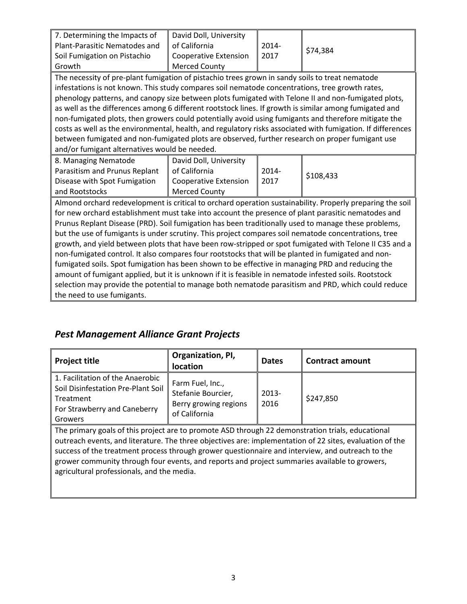| 7. Determining the Impacts of<br>Plant-Parasitic Nematodes and<br>Soil Fumigation on Pistachio<br>Growth                                                                                                                                                                                                                                                                                                                                                                                                                                                                                                                                                                                                                                                                                                                                                                                                                                                                                        | David Doll, University<br>of California<br><b>Cooperative Extension</b><br><b>Merced County</b> | 2014-<br>2017    | \$74,384  |
|-------------------------------------------------------------------------------------------------------------------------------------------------------------------------------------------------------------------------------------------------------------------------------------------------------------------------------------------------------------------------------------------------------------------------------------------------------------------------------------------------------------------------------------------------------------------------------------------------------------------------------------------------------------------------------------------------------------------------------------------------------------------------------------------------------------------------------------------------------------------------------------------------------------------------------------------------------------------------------------------------|-------------------------------------------------------------------------------------------------|------------------|-----------|
| The necessity of pre-plant fumigation of pistachio trees grown in sandy soils to treat nematode<br>infestations is not known. This study compares soil nematode concentrations, tree growth rates,<br>phenology patterns, and canopy size between plots fumigated with Telone II and non-fumigated plots,<br>as well as the differences among 6 different rootstock lines. If growth is similar among fumigated and<br>non-fumigated plots, then growers could potentially avoid using fumigants and therefore mitigate the<br>costs as well as the environmental, health, and regulatory risks associated with fumigation. If differences<br>between fumigated and non-fumigated plots are observed, further research on proper fumigant use<br>and/or fumigant alternatives would be needed.                                                                                                                                                                                                  |                                                                                                 |                  |           |
| 8. Managing Nematode<br>Parasitism and Prunus Replant<br>Disease with Spot Fumigation<br>and Rootstocks                                                                                                                                                                                                                                                                                                                                                                                                                                                                                                                                                                                                                                                                                                                                                                                                                                                                                         | David Doll, University<br>of California<br><b>Cooperative Extension</b><br><b>Merced County</b> | $2014 -$<br>2017 | \$108,433 |
| Almond orchard redevelopment is critical to orchard operation sustainability. Properly preparing the soil<br>for new orchard establishment must take into account the presence of plant parasitic nematodes and<br>Prunus Replant Disease (PRD). Soil fumigation has been traditionally used to manage these problems,<br>but the use of fumigants is under scrutiny. This project compares soil nematode concentrations, tree<br>growth, and yield between plots that have been row-stripped or spot fumigated with Telone II C35 and a<br>non-fumigated control. It also compares four rootstocks that will be planted in fumigated and non-<br>fumigated soils. Spot fumigation has been shown to be effective in managing PRD and reducing the<br>amount of fumigant applied, but it is unknown if it is feasible in nematode infested soils. Rootstock<br>selection may provide the potential to manage both nematode parasitism and PRD, which could reduce<br>the need to use fumigants. |                                                                                                 |                  |           |

## *Pest Management Alliance Grant Projects*

| <b>Project title</b>                                                                                                                                                                                          | Organization, PI,<br><b>location</b>                                             | <b>Dates</b>     | <b>Contract amount</b> |
|---------------------------------------------------------------------------------------------------------------------------------------------------------------------------------------------------------------|----------------------------------------------------------------------------------|------------------|------------------------|
| 1. Facilitation of the Anaerobic<br>Soil Disinfestation Pre-Plant Soil<br>Treatment<br>For Strawberry and Caneberry<br>Growers                                                                                | Farm Fuel, Inc.,<br>Stefanie Bourcier,<br>Berry growing regions<br>of California | $2013 -$<br>2016 | \$247,850              |
| The primary goals of this project are to promote ASD through 22 demonstration trials, educational<br>outreach events, and literature. The three objectives are: implementation of 22 sites, evaluation of the |                                                                                  |                  |                        |

outreach events, and literature. The three objectives are: implementation of 22 sites, evaluation of the success of the treatment process through grower questionnaire and interview, and outreach to the grower community through four events, and reports and project summaries available to growers, agricultural professionals, and the media.